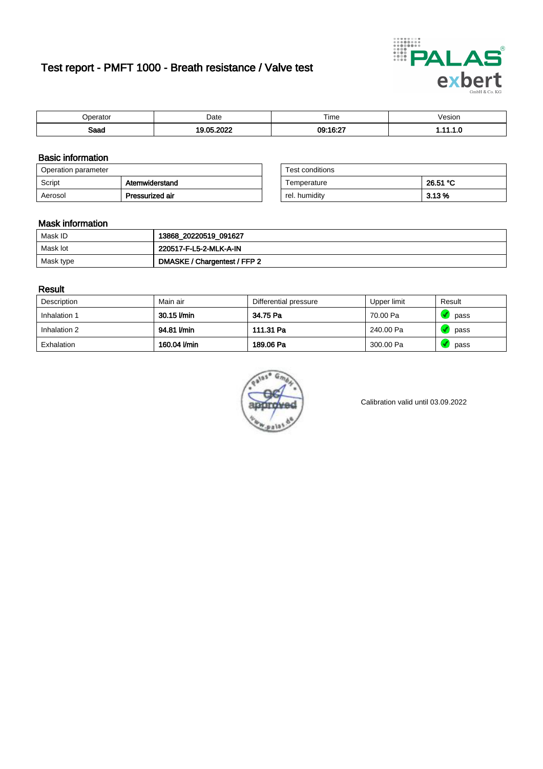# Test report - PMFT 1000 - Breath resistance / Valve test



| berator             | Date                                   | Time     | /esion |
|---------------------|----------------------------------------|----------|--------|
| <b>Roon</b><br>oaau | 000<br>.05<br>$\overline{\phantom{a}}$ | 09:16:27 | .      |

### Basic information

| Operation parameter |                 | Test conditions |          |
|---------------------|-----------------|-----------------|----------|
| Script              | Atemwiderstand  | Temperature     | 26.51 °C |
| Aerosol             | Pressurized air | rel. humidity   | 3.13%    |

| Test conditions |          |
|-----------------|----------|
| Temperature     | 26.51 °C |
| rel. humidity   | 3.13%    |

#### Mask information

| Mask ID   | 13868_20220519_091627        |
|-----------|------------------------------|
| Mask lot  | 220517-F-L5-2-MLK-A-IN       |
| Mask type | DMASKE / Chargentest / FFP 2 |

### Result

| Description  | Main air     | Differential pressure | Upper limit | Result |
|--------------|--------------|-----------------------|-------------|--------|
| Inhalation 1 | 30.15 l/min  | 34.75 Pa              | 70.00 Pa    | pass   |
| Inhalation 2 | 94.81 I/min  | 111.31 Pa             | 240.00 Pa   | pass   |
| Exhalation   | 160.04 l/min | 189.06 Pa             | 300.00 Pa   | pass   |



Calibration valid until 03.09.2022